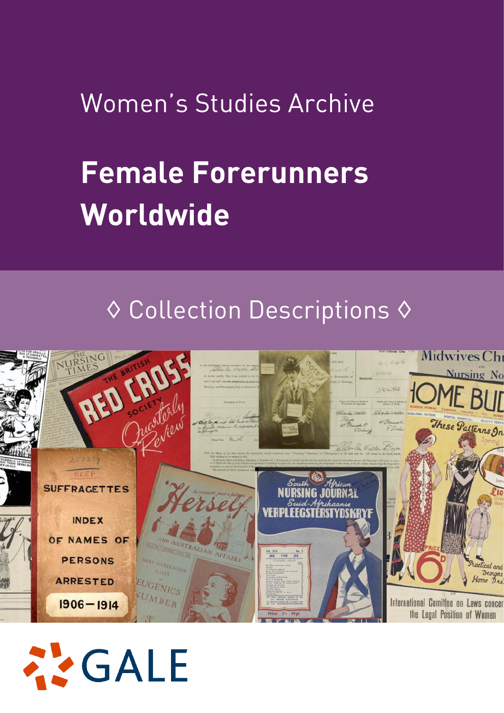# Women's Studies Archive

# **Female Forerunners Worldwide**

# ◊ Collection Descriptions ◊



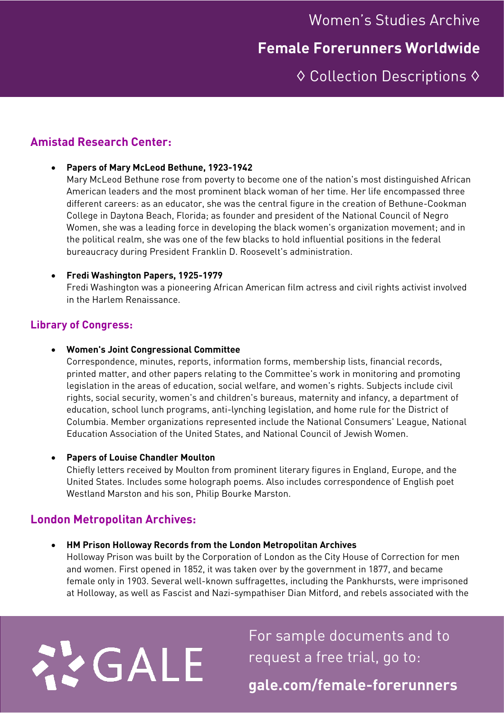Women's Studies Archive

### **Female Forerunners Worldwide**

◊ Collection Descriptions ◊

#### **Amistad Research Center:**

#### • **Papers of Mary McLeod Bethune, 1923-1942**

Mary McLeod Bethune rose from poverty to become one of the nation's most distinguished African American leaders and the most prominent black woman of her time. Her life encompassed three different careers: as an educator, she was the central figure in the creation of Bethune-Cookman College in Daytona Beach, Florida; as founder and president of the National Council of Negro Women, she was a leading force in developing the black women's organization movement; and in the political realm, she was one of the few blacks to hold influential positions in the federal bureaucracy during President Franklin D. Roosevelt's administration.

#### • **Fredi Washington Papers, 1925-1979**

Fredi Washington was a pioneering African American film actress and civil rights activist involved in the Harlem Renaissance.

#### **Library of Congress:**

#### • **Women's Joint Congressional Committee**

Correspondence, minutes, reports, information forms, membership lists, financial records, printed matter, and other papers relating to the Committee's work in monitoring and promoting legislation in the areas of education, social welfare, and women's rights. Subjects include civil rights, social security, women's and children's bureaus, maternity and infancy, a department of education, school lunch programs, anti-lynching legislation, and home rule for the District of Columbia. Member organizations represented include the National Consumers' League, National Education Association of the United States, and National Council of Jewish Women.

#### • **Papers of Louise Chandler Moulton**

Chiefly letters received by Moulton from prominent literary figures in England, Europe, and the United States. Includes some holograph poems. Also includes correspondence of English poet Westland Marston and his son, Philip Bourke Marston.

#### **London Metropolitan Archives:**

22 GALE

#### • **HM Prison Holloway Records from the London Metropolitan Archives**

Holloway Prison was built by the Corporation of London as the City House of Correction for men and women. First opened in 1852, it was taken over by the government in 1877, and became female only in 1903. Several well-known suffragettes, including the Pankhursts, were imprisoned at Holloway, as well as Fascist and Nazi-sympathiser Dian Mitford, and rebels associated with the

> For sample documents and to request a free trial, go to: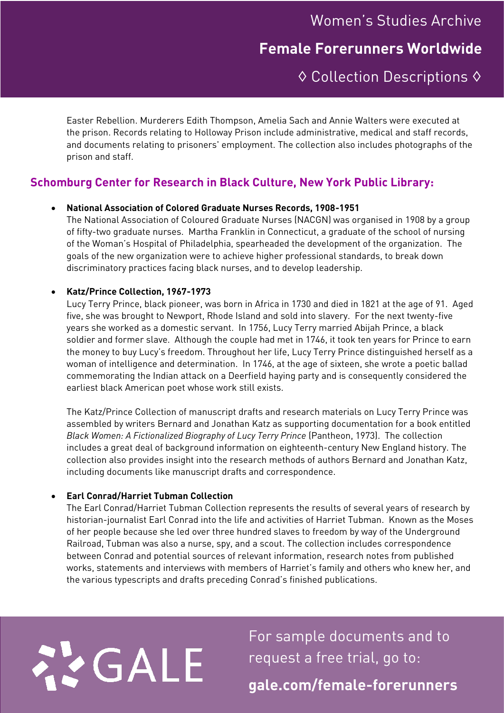## Women's Studies Archive **Female Forerunners Worldwide**

## ◊ Collection Descriptions ◊

Easter Rebellion. Murderers Edith Thompson, Amelia Sach and Annie Walters were executed at the prison. Records relating to Holloway Prison include administrative, medical and staff records, and documents relating to prisoners' employment. The collection also includes photographs of the prison and staff.

#### **Schomburg Center for Research in Black Culture, New York Public Library:**

#### • **National Association of Colored Graduate Nurses Records, 1908-1951**

The National Association of Coloured Graduate Nurses (NACGN) was organised in 1908 by a group of fifty-two graduate nurses. Martha Franklin in Connecticut, a graduate of the school of nursing of the Woman's Hospital of Philadelphia, spearheaded the development of the organization. The goals of the new organization were to achieve higher professional standards, to break down discriminatory practices facing black nurses, and to develop leadership.

#### • **Katz/Prince Collection, 1967-1973**

Lucy Terry Prince, black pioneer, was born in Africa in 1730 and died in 1821 at the age of 91. Aged five, she was brought to Newport, Rhode Island and sold into slavery. For the next twenty-five years she worked as a domestic servant. In 1756, Lucy Terry married Abijah Prince, a black soldier and former slave. Although the couple had met in 1746, it took ten years for Prince to earn the money to buy Lucy's freedom. Throughout her life, Lucy Terry Prince distinguished herself as a woman of intelligence and determination. In 1746, at the age of sixteen, she wrote a poetic ballad commemorating the Indian attack on a Deerfield haying party and is consequently considered the earliest black American poet whose work still exists.

The Katz/Prince Collection of manuscript drafts and research materials on Lucy Terry Prince was assembled by writers Bernard and Jonathan Katz as supporting documentation for a book entitled *Black Women: A Fictionalized Biography of Lucy Terry Prince* (Pantheon, 1973). The collection includes a great deal of background information on eighteenth-century New England history. The collection also provides insight into the research methods of authors Bernard and Jonathan Katz, including documents like manuscript drafts and correspondence.

#### • **Earl Conrad/Harriet Tubman Collection**

The Earl Conrad/Harriet Tubman Collection represents the results of several years of research by historian-journalist Earl Conrad into the life and activities of Harriet Tubman. Known as the Moses of her people because she led over three hundred slaves to freedom by way of the Underground Railroad, Tubman was also a nurse, spy, and a scout. The collection includes correspondence between Conrad and potential sources of relevant information, research notes from published works, statements and interviews with members of Harriet's family and others who knew her, and the various typescripts and drafts preceding Conrad's finished publications.

# 22 GALE

For sample documents and to request a free trial, go to: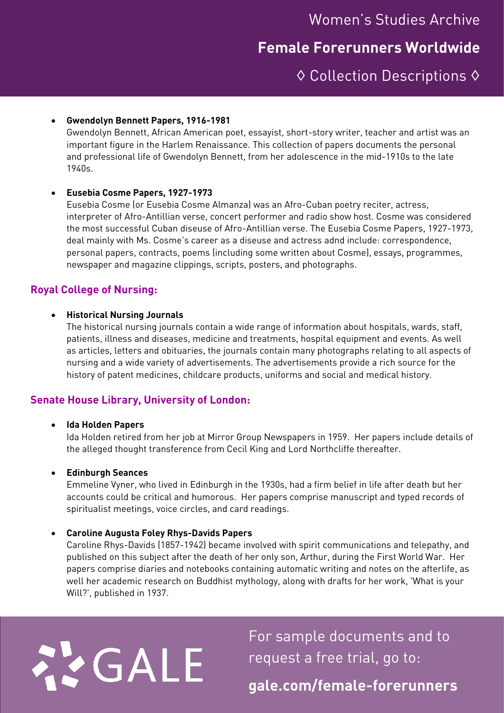#### • **Gwendolyn Bennett Papers, 1916-1981**

Gwendolyn Bennett, African American poet, essayist, short-story writer, teacher and artist was an important figure in the Harlem Renaissance. This collection of papers documents the personal and professional life of Gwendolyn Bennett, from her adolescence in the mid-1910s to the late 1940s.

#### • **Eusebia Cosme Papers, 1927-1973**

Eusebia Cosme (or Eusebia Cosme Almanza) was an Afro-Cuban poetry reciter, actress, interpreter of Afro-Antillian verse, concert performer and radio show host. Cosme was considered the most successful Cuban diseuse of Afro-Antillian verse. The Eusebia Cosme Papers, 1927-1973, deal mainly with Ms. Cosme's career as a diseuse and actress adnd include: correspondence, personal papers, contracts, poems (including some written about Cosme), essays, programmes, newspaper and magazine clippings, scripts, posters, and photographs.

#### **Royal College of Nursing:**

#### • **Historical Nursing Journals**

The historical nursing journals contain a wide range of information about hospitals, wards, staff, patients, illness and diseases, medicine and treatments, hospital equipment and events. As well as articles, letters and obituaries, the journals contain many photographs relating to all aspects of nursing and a wide variety of advertisements. The advertisements provide a rich source for the history of patent medicines, childcare products, uniforms and social and medical history.

#### **Senate House Library, University of London:**

#### • **Ida Holden Papers**

Ida Holden retired from her job at Mirror Group Newspapers in 1959. Her papers include details of the alleged thought transference from Cecil King and Lord Northcliffe thereafter.

#### • **Edinburgh Seances**

Emmeline Vyner, who lived in Edinburgh in the 1930s, had a firm belief in life after death but her accounts could be critical and humorous. Her papers comprise manuscript and typed records of spiritualist meetings, voice circles, and card readings.

#### • **Caroline Augusta Foley Rhys-Davids Papers**

Caroline Rhys-Davids (1857-1942) became involved with spirit communications and telepathy, and published on this subject after the death of her only son, Arthur, during the First World War. Her papers comprise diaries and notebooks containing automatic writing and notes on the afterlife, as well her academic research on Buddhist mythology, along with drafts for her work, 'What is your Will?', published in 1937.

# 22 GALE

For sample documents and to request a free trial, go to: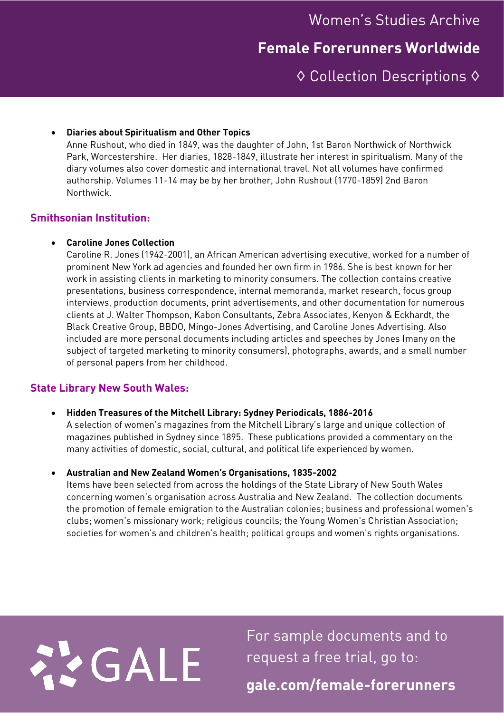### **Female Forerunners Worldwide**

◊ Collection Descriptions ◊

#### • **Diaries about Spiritualism and Other Topics**

Anne Rushout, who died in 1849, was the daughter of John, 1st Baron Northwick of Northwick Park, Worcestershire. Her diaries, 1828-1849, illustrate her interest in spiritualism. Many of the diary volumes also cover domestic and international travel. Not all volumes have confirmed authorship. Volumes 11-14 may be by her brother, John Rushout (1770-1859) 2nd Baron Northwick.

#### **Smithsonian Institution:**

#### • **Caroline Jones Collection**

Caroline R. Jones (1942-2001), an African American advertising executive, worked for a number of prominent New York ad agencies and founded her own firm in 1986. She is best known for her work in assisting clients in marketing to minority consumers. The collection contains creative presentations, business correspondence, internal memoranda, market research, focus group interviews, production documents, print advertisements, and other documentation for numerous clients at J. Walter Thompson, Kabon Consultants, Zebra Associates, Kenyon & Eckhardt, the Black Creative Group, BBDO, Mingo-Jones Advertising, and Caroline Jones Advertising. Also included are more personal documents including articles and speeches by Jones (many on the subject of targeted marketing to minority consumers), photographs, awards, and a small number of personal papers from her childhood.

#### **State Library New South Wales:**

- **Hidden Treasures of the Mitchell Library: Sydney Periodicals, 1886-2016** A selection of women's magazines from the Mitchell Library's large and unique collection of magazines published in Sydney since 1895. These publications provided a commentary on the many activities of domestic, social, cultural, and political life experienced by women.
- **Australian and New Zealand Women's Organisations, 1835-2002**

Items have been selected from across the holdings of the State Library of New South Wales concerning women's organisation across Australia and New Zealand. The collection documents the promotion of female emigration to the Australian colonies; business and professional women's clubs; women's missionary work; religious councils; the Young Women's Christian Association; societies for women's and children's health; political groups and women's rights organisations.



For sample documents and to request a free trial, go to: